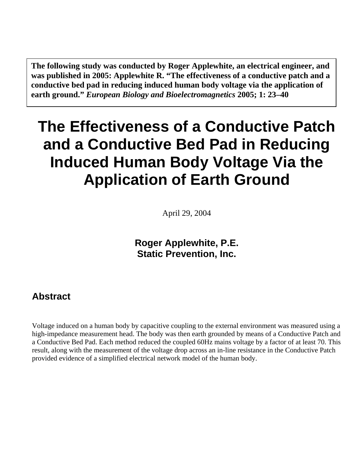<span id="page-0-0"></span>**The following study was conducted by Roger Applewhite, an electrical engineer, and was published in 2005: Applewhite R. "The effectiveness of a conductive patch and a conductive bed pad in reducing induced human body voltage via the application of earth ground."** *European Biology and Bioelectromagnetics* **2005; 1: 23–40** 

# **The Effectiveness of a Conductive Patch and a Conductive Bed Pad in Reducing Induced Human Body Voltage Via the Application of Earth Ground**

April 29, 2004

**Roger Applewhite, P.E. Static Prevention, Inc.** 

#### **Abstract**

Voltage induced on a human body by capacitive coupling to the external environment was measured using a high-impedance measurement head. The body was then earth grounded by means of a Conductive Patch and a Conductive Bed Pad. Each method reduced the coupled 60Hz mains voltage by a factor of at least 70. This result, along with the measurement of the voltage drop across an in-line resistance in the Conductive Patch provided evidence of a simplified electrical network model of the human body.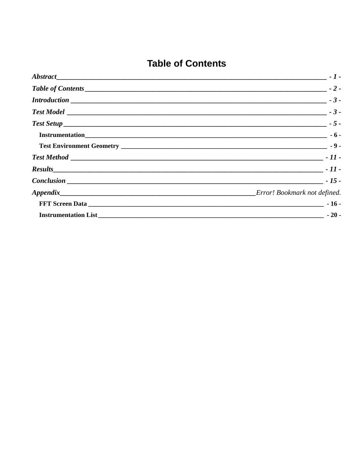## **Table of Contents**

<span id="page-1-0"></span>

|                                     | $-1-$ |
|-------------------------------------|-------|
| Table of Contents $\sqrt{2}$ - 2 -  |       |
|                                     |       |
| $Test Model$ $-$                    |       |
|                                     |       |
|                                     |       |
|                                     |       |
|                                     |       |
|                                     |       |
| $Conclusion$ $\qquad \qquad$ - 15 - |       |
|                                     |       |
|                                     |       |
|                                     |       |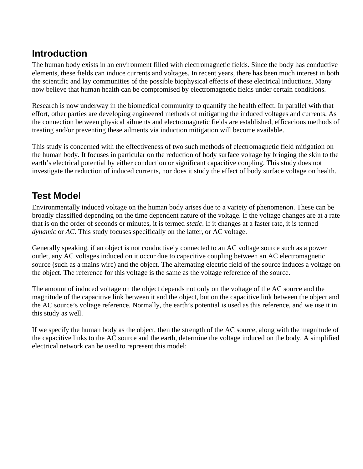#### <span id="page-2-0"></span>**Introduction**

The human body exists in an environment filled with electromagnetic fields. Since the body has conductive elements, these fields can induce currents and voltages. In recent years, there has been much interest in both the scientific and lay communities of the possible biophysical effects of these electrical inductions. Many now believe that human health can be compromised by electromagnetic fields under certain conditions.

Research is now underway in the biomedical community to quantify the health effect. In parallel with that effort, other parties are developing engineered methods of mitigating the induced voltages and currents. As the connection between physical ailments and electromagnetic fields are established, efficacious methods of treating and/or preventing these ailments via induction mitigation will become available.

This study is concerned with the effectiveness of two such methods of electromagnetic field mitigation on the human body. It focuses in particular on the reduction of body surface voltage by bringing the skin to the earth's electrical potential by either conduction or significant capacitive coupling. This study does not investigate the reduction of induced currents, nor does it study the effect of body surface voltage on health.

### **Test Model**

Environmentally induced voltage on the human body arises due to a variety of phenomenon. These can be broadly classified depending on the time dependent nature of the voltage. If the voltage changes are at a rate that is on the order of seconds or minutes, it is termed *static*. If it changes at a faster rate, it is termed *dynamic* or *AC*. This study focuses specifically on the latter, or AC voltage.

Generally speaking, if an object is not conductively connected to an AC voltage source such as a power outlet, any AC voltages induced on it occur due to capacitive coupling between an AC electromagnetic source (such as a mains wire) and the object. The alternating electric field of the source induces a voltage on the object. The reference for this voltage is the same as the voltage reference of the source.

The amount of induced voltage on the object depends not only on the voltage of the AC source and the magnitude of the capacitive link between it and the object, but on the capacitive link between the object and the AC source's voltage reference. Normally, the earth's potential is used as this reference, and we use it in this study as well.

If we specify the human body as the object, then the strength of the AC source, along with the magnitude of the capacitive links to the AC source and the earth, determine the voltage induced on the body. A simplified electrical network can be used to represent this model: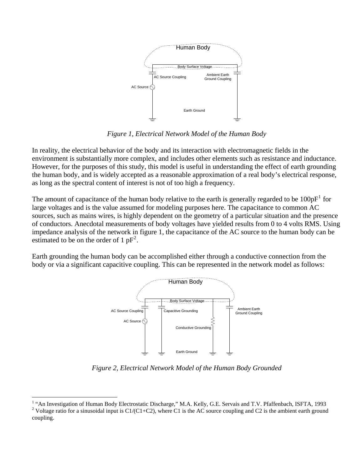<span id="page-3-0"></span>

*Figure 1, Electrical Network Model of the Human Body* 

In reality, the electrical behavior of the body and its interaction with electromagnetic fields in the environment is substantially more complex, and includes other elements such as resistance and inductance. However, for the purposes of this study, this model is useful in understanding the effect of earth grounding the human body, and is widely accepted as a reasonable approximation of a real body's electrical response, as long as the spectral content of interest is not of too high a frequency.

The amount of capacitance of the human body relative to the earth is generally regarded to be  $100pF<sup>1</sup>$  $100pF<sup>1</sup>$  for large voltages and is the value assumed for modeling purposes here. The capacitance to common AC sources, such as mains wires, is highly dependent on the geometry of a particular situation and the presence of conductors. Anecdotal measurements of body voltages have yielded results from 0 to 4 volts RMS. Using impedance analysis of the network in figure 1, the capacitance of the AC source to the human body can be estimated to be on the order of 1  $pF^2$  $pF^2$ .

Earth grounding the human body can be accomplished either through a conductive connection from the body or via a significant capacitive coupling. This can be represented in the network model as follows:



*Figure 2, Electrical Network Model of the Human Body Grounded* 

 $\overline{a}$ 

<sup>&</sup>lt;sup>1</sup> "An Investigation of Human Body Electrostatic Discharge," M.A. Kelly, G.E. Servais and T.V. Pfaffenbach, ISFTA, 1993 <sup>2</sup> Voltage ratio for a sinusoidal input is C1/(C1+C2), where C1 is the AC source coupling and C2 is the ambient earth ground

coupling.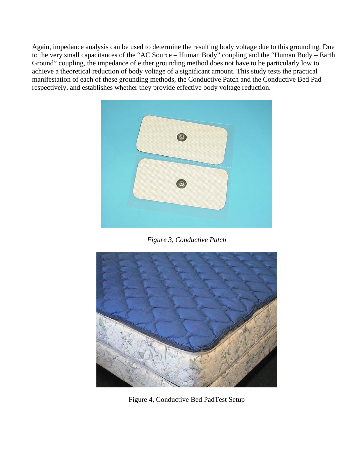<span id="page-4-0"></span>Again, impedance analysis can be used to determine the resulting body voltage due to this grounding. Due to the very small capacitances of the "AC Source – Human Body" coupling and the "Human Body – Earth Ground" coupling, the impedance of either grounding method does not have to be particularly low to achieve a theoretical reduction of body voltage of a significant amount. This study tests the practical manifestation of each of these grounding methods, the Conductive Patch and the Conductive Bed Pad respectively, and establishes whether they provide effective body voltage reduction.



*Figure 3, Conductive Patch* 



Figure 4, Conductive Bed PadTest Setup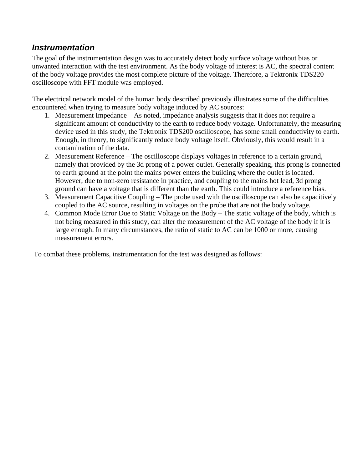#### <span id="page-5-0"></span>*Instrumentation*

The goal of the instrumentation design was to accurately detect body surface voltage without bias or unwanted interaction with the test environment. As the body voltage of interest is AC, the spectral content of the body voltage provides the most complete picture of the voltage. Therefore, a Tektronix TDS220 oscilloscope with FFT module was employed.

The electrical network model of the human body described previously illustrates some of the difficulties encountered when trying to measure body voltage induced by AC sources:

- 1. Measurement Impedance As noted, impedance analysis suggests that it does not require a significant amount of conductivity to the earth to reduce body voltage. Unfortunately, the measuring device used in this study, the Tektronix TDS200 oscilloscope, has some small conductivity to earth. Enough, in theory, to significantly reduce body voltage itself. Obviously, this would result in a contamination of the data.
- 2. Measurement Reference The oscilloscope displays voltages in reference to a certain ground, namely that provided by the 3d prong of a power outlet. Generally speaking, this prong is connected to earth ground at the point the mains power enters the building where the outlet is located. However, due to non-zero resistance in practice, and coupling to the mains hot lead, 3d prong ground can have a voltage that is different than the earth. This could introduce a reference bias.
- 3. Measurement Capacitive Coupling The probe used with the oscilloscope can also be capacitively coupled to the AC source, resulting in voltages on the probe that are not the body voltage.
- 4. Common Mode Error Due to Static Voltage on the Body The static voltage of the body, which is not being measured in this study, can alter the measurement of the AC voltage of the body if it is large enough. In many circumstances, the ratio of static to AC can be 1000 or more, causing measurement errors.

To combat these problems, instrumentation for the test was designed as follows: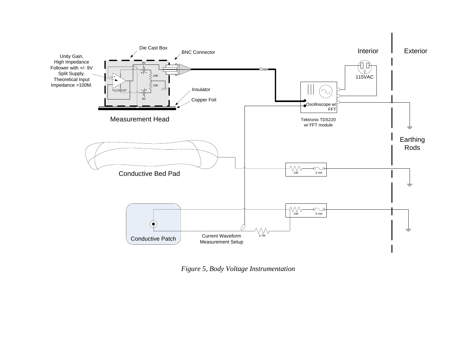

*Figure 5, Body Voltage Instrumentation*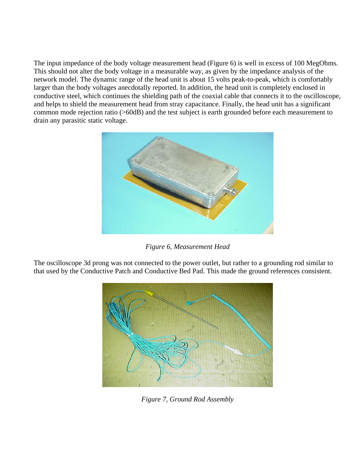The input impedance of the body voltage measurement head (Figure 6) is well in excess of 100 MegOhms. This should not alter the body voltage in a measurable way, as given by the impedance analysis of the network model. The dynamic range of the head unit is about 15 volts peak-to-peak, which is comfortably larger than the body voltages anecdotally reported. In addition, the head unit is completely enclosed in conductive steel, which continues the shielding path of the coaxial cable that connects it to the oscilloscope, and helps to shield the measurement head from stray capacitance. Finally, the head unit has a significant common mode rejection ratio (>60dB) and the test subject is earth grounded before each measurement to drain any parasitic static voltage.



*Figure 6, Measurement Head* 

The oscilloscope 3d prong was not connected to the power outlet, but rather to a grounding rod similar to that used by the Conductive Patch and Conductive Bed Pad. This made the ground references consistent.



*Figure 7, Ground Rod Assembly*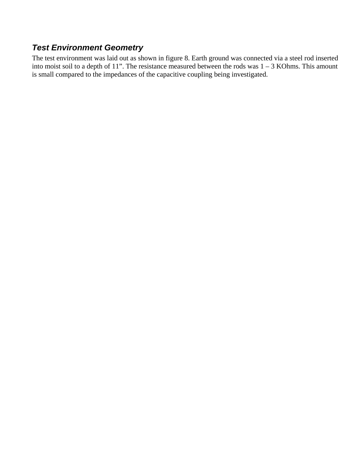#### <span id="page-8-0"></span>*Test Environment Geometry*

The test environment was laid out as shown in figure 8. Earth ground was connected via a steel rod inserted into moist soil to a depth of 11". The resistance measured between the rods was  $1 - 3$  KOhms. This amount is small compared to the impedances of the capacitive coupling being investigated.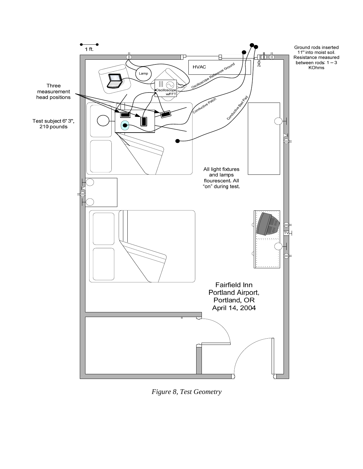

*Figure 8, Test Geometry*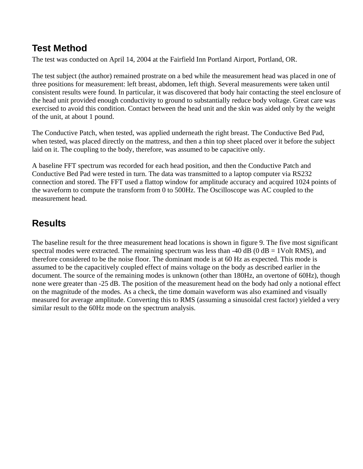#### <span id="page-10-0"></span>**Test Method**

The test was conducted on April 14, 2004 at the Fairfield Inn Portland Airport, Portland, OR.

The test subject (the author) remained prostrate on a bed while the measurement head was placed in one of three positions for measurement: left breast, abdomen, left thigh. Several measurements were taken until consistent results were found. In particular, it was discovered that body hair contacting the steel enclosure of the head unit provided enough conductivity to ground to substantially reduce body voltage. Great care was exercised to avoid this condition. Contact between the head unit and the skin was aided only by the weight of the unit, at about 1 pound.

The Conductive Patch, when tested, was applied underneath the right breast. The Conductive Bed Pad, when tested, was placed directly on the mattress, and then a thin top sheet placed over it before the subject laid on it. The coupling to the body, therefore, was assumed to be capacitive only.

A baseline FFT spectrum was recorded for each head position, and then the Conductive Patch and Conductive Bed Pad were tested in turn. The data was transmitted to a laptop computer via RS232 connection and stored. The FFT used a flattop window for amplitude accuracy and acquired 1024 points of the waveform to compute the transform from 0 to 500Hz. The Oscilloscope was AC coupled to the measurement head.

## **Results**

The baseline result for the three measurement head locations is shown in figure 9. The five most significant spectral modes were extracted. The remaining spectrum was less than -40 dB (0  $dB = 1$ Volt RMS), and therefore considered to be the noise floor. The dominant mode is at 60 Hz as expected. This mode is assumed to be the capacitively coupled effect of mains voltage on the body as described earlier in the document. The source of the remaining modes is unknown (other than 180Hz, an overtone of 60Hz), though none were greater than -25 dB. The position of the measurement head on the body had only a notional effect on the magnitude of the modes. As a check, the time domain waveform was also examined and visually measured for average amplitude. Converting this to RMS (assuming a sinusoidal crest factor) yielded a very similar result to the 60Hz mode on the spectrum analysis.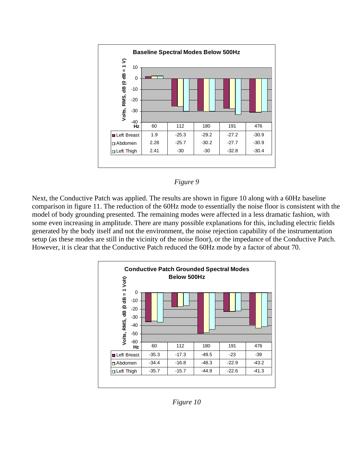



Next, the Conductive Patch was applied. The results are shown in figure 10 along with a 60Hz baseline comparison in figure 11. The reduction of the 60Hz mode to essentially the noise floor is consistent with the model of body grounding presented. The remaining modes were affected in a less dramatic fashion, with some even increasing in amplitude. There are many possible explanations for this, including electric fields generated by the body itself and not the environment, the noise rejection capability of the instrumentation setup (as these modes are still in the vicinity of the noise floor), or the impedance of the Conductive Patch. However, it is clear that the Conductive Patch reduced the 60Hz mode by a factor of about 70.



*Figure 10*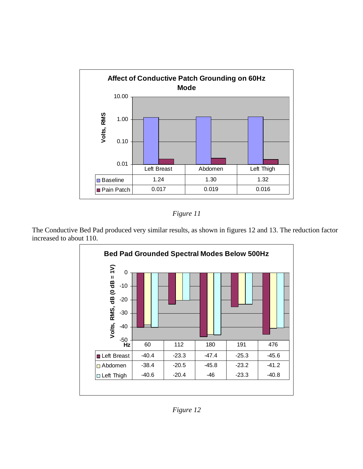



The Conductive Bed Pad produced very similar results, as shown in figures 12 and 13. The reduction factor increased to about 110.



*Figure 12*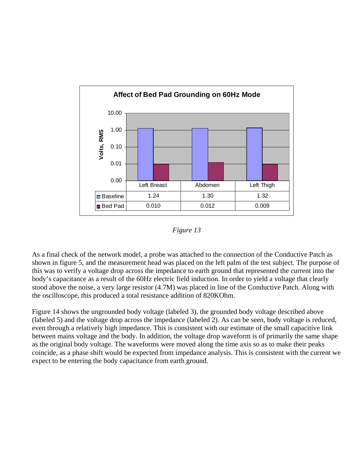

*Figure 13* 

As a final check of the network model, a probe was attached to the connection of the Conductive Patch as shown in figure 5, and the measurement head was placed on the left palm of the test subject. The purpose of this was to verify a voltage drop across the impedance to earth ground that represented the current into the body's capacitance as a result of the 60Hz electric field induction. In order to yield a voltage that clearly stood above the noise, a very large resistor (4.7M) was placed in line of the Conductive Patch. Along with the oscilloscope, this produced a total resistance addition of 820KOhm.

Figure 14 shows the ungrounded body voltage (labeled 3), the grounded body voltage described above (labeled 5) and the voltage drop across the impedance (labeled 2). As can be seen, body voltage is reduced, even through a relatively high impedance. This is consistent with our estimate of the small capacitive link between mains voltage and the body. In addition, the voltage drop waveform is of primarily the same shape as the original body voltage. The waveforms were moved along the time axis so as to make their peaks coincide, as a phase shift would be expected from impedance analysis. This is consistent with the current we expect to be entering the body capacitance from earth ground.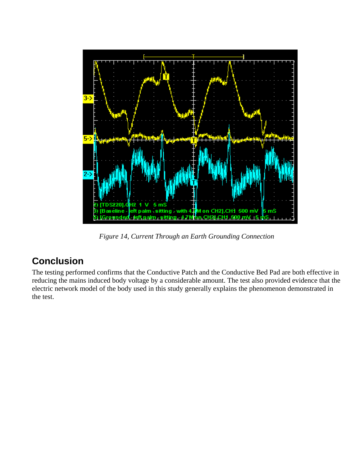<span id="page-14-0"></span>

*Figure 14, Current Through an Earth Grounding Connection* 

#### **Conclusion**

The testing performed confirms that the Conductive Patch and the Conductive Bed Pad are both effective in reducing the mains induced body voltage by a considerable amount. The test also provided evidence that the electric network model of the body used in this study generally explains the phenomenon demonstrated in the test.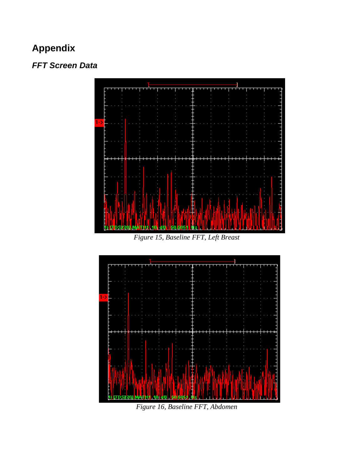## **Appendix**

#### *FFT Screen Data*



*Figure 15, Baseline FFT, Left Breast* 

![](_page_15_Figure_4.jpeg)

*Figure 16, Baseline FFT, Abdomen*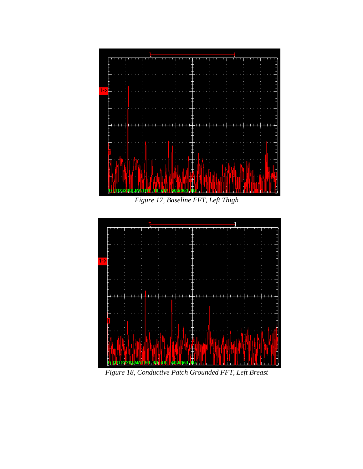![](_page_16_Figure_0.jpeg)

*Figure 17, Baseline FFT, Left Thigh*

![](_page_16_Figure_2.jpeg)

*Figure 18, Conductive Patch Grounded FFT, Left Breast*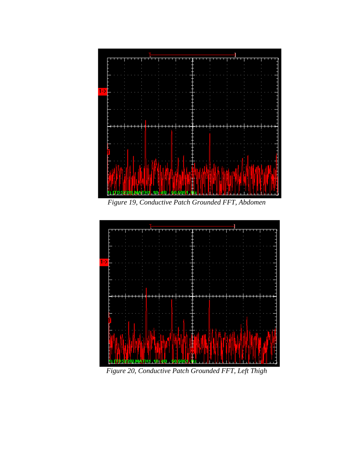![](_page_17_Figure_0.jpeg)

*Figure 19, Conductive Patch Grounded FFT, Abdomen*

![](_page_17_Figure_2.jpeg)

*Figure 20, Conductive Patch Grounded FFT, Left Thigh*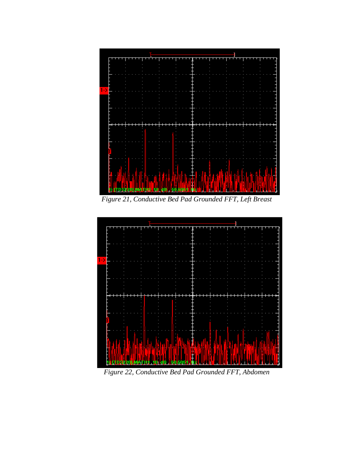![](_page_18_Figure_0.jpeg)

*Figure 21, Conductive Bed Pad Grounded FFT, Left Breast*

![](_page_18_Figure_2.jpeg)

*Figure 22, Conductive Bed Pad Grounded FFT, Abdomen*